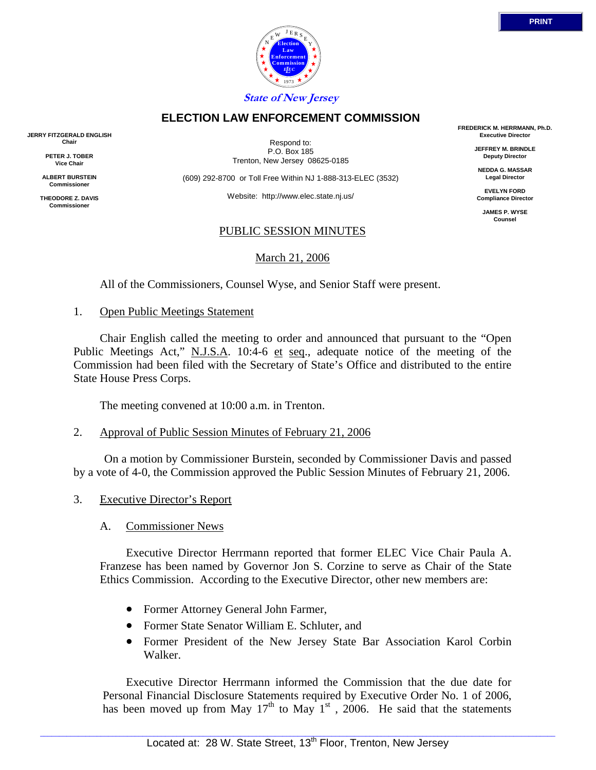



**ELECTION LAW ENFORCEMENT COMMISSION**

Respond to: P.O. Box 185 Trenton, New Jersey 08625-0185

(609) 292-8700 or Toll Free Within NJ 1-888-313-ELEC (3532)

Website: http://www.elec.state.nj.us/

### PUBLIC SESSION MINUTES

March 21, 2006

All of the Commissioners, Counsel Wyse, and Senior Staff were present.

1. Open Public Meetings Statement

 Chair English called the meeting to order and announced that pursuant to the "Open Public Meetings Act," N.J.S.A. 10:4-6 et seq., adequate notice of the meeting of the Commission had been filed with the Secretary of State's Office and distributed to the entire State House Press Corps.

The meeting convened at 10:00 a.m. in Trenton.

2. Approval of Public Session Minutes of February 21, 2006

 On a motion by Commissioner Burstein, seconded by Commissioner Davis and passed by a vote of 4-0, the Commission approved the Public Session Minutes of February 21, 2006.

- 3. Executive Director's Report
	- A. Commissioner News

 Executive Director Herrmann reported that former ELEC Vice Chair Paula A. Franzese has been named by Governor Jon S. Corzine to serve as Chair of the State Ethics Commission. According to the Executive Director, other new members are:

- Former Attorney General John Farmer,
- Former State Senator William E. Schluter, and
- Former President of the New Jersey State Bar Association Karol Corbin Walker.

 Executive Director Herrmann informed the Commission that the due date for Personal Financial Disclosure Statements required by Executive Order No. 1 of 2006, has been moved up from May  $17<sup>th</sup>$  to May  $1<sup>st</sup>$ , 2006. He said that the statements

**FREDERICK M. HERRMANN, Ph.D. Executive Director**

> **JEFFREY M. BRINDLE Deputy Director**

**NEDDA G. MASSAR Legal Director**

**EVELYN FORD Compliance Director**

> **JAMES P. WYSE Counsel**



**JERRY FITZGERALD ENGLISH Chair**

> **PETER J. TOBER Vice Chair**

**ALBERT BURSTEIN Commissioner** 

**THEODORE Z. DAVIS Commissione**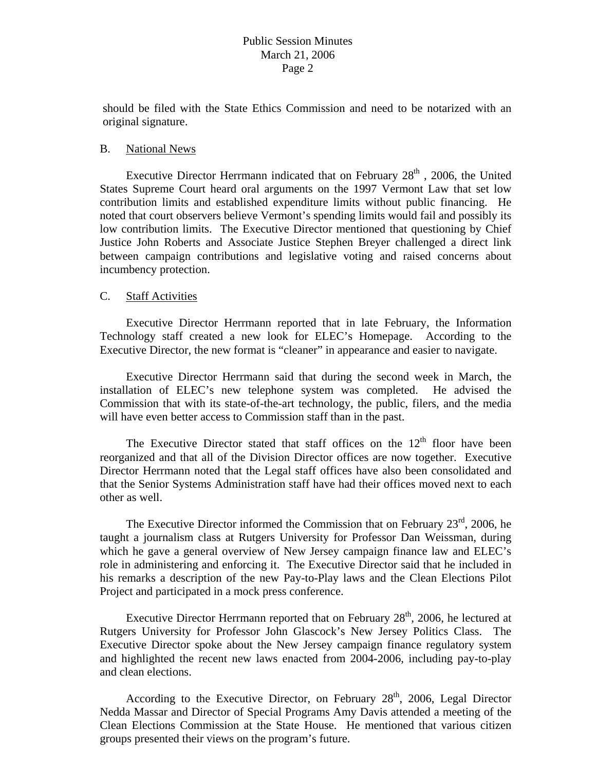should be filed with the State Ethics Commission and need to be notarized with an original signature.

### B. National News

Executive Director Herrmann indicated that on February  $28<sup>th</sup>$ , 2006, the United States Supreme Court heard oral arguments on the 1997 Vermont Law that set low contribution limits and established expenditure limits without public financing. He noted that court observers believe Vermont's spending limits would fail and possibly its low contribution limits. The Executive Director mentioned that questioning by Chief Justice John Roberts and Associate Justice Stephen Breyer challenged a direct link between campaign contributions and legislative voting and raised concerns about incumbency protection.

## C. Staff Activities

 Executive Director Herrmann reported that in late February, the Information Technology staff created a new look for ELEC's Homepage. According to the Executive Director, the new format is "cleaner" in appearance and easier to navigate.

 Executive Director Herrmann said that during the second week in March, the installation of ELEC's new telephone system was completed. He advised the Commission that with its state-of-the-art technology, the public, filers, and the media will have even better access to Commission staff than in the past.

The Executive Director stated that staff offices on the  $12<sup>th</sup>$  floor have been reorganized and that all of the Division Director offices are now together. Executive Director Herrmann noted that the Legal staff offices have also been consolidated and that the Senior Systems Administration staff have had their offices moved next to each other as well.

The Executive Director informed the Commission that on February  $23<sup>rd</sup>$ , 2006, he taught a journalism class at Rutgers University for Professor Dan Weissman, during which he gave a general overview of New Jersey campaign finance law and ELEC's role in administering and enforcing it. The Executive Director said that he included in his remarks a description of the new Pay-to-Play laws and the Clean Elections Pilot Project and participated in a mock press conference.

Executive Director Herrmann reported that on February  $28<sup>th</sup>$ , 2006, he lectured at Rutgers University for Professor John Glascock's New Jersey Politics Class. The Executive Director spoke about the New Jersey campaign finance regulatory system and highlighted the recent new laws enacted from 2004-2006, including pay-to-play and clean elections.

According to the Executive Director, on February 28<sup>th</sup>, 2006, Legal Director Nedda Massar and Director of Special Programs Amy Davis attended a meeting of the Clean Elections Commission at the State House. He mentioned that various citizen groups presented their views on the program's future.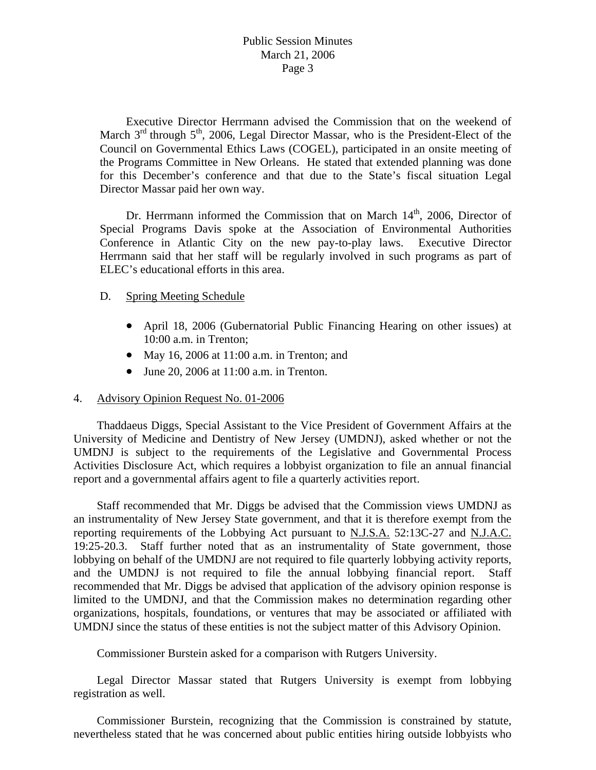Executive Director Herrmann advised the Commission that on the weekend of March  $3<sup>rd</sup>$  through  $5<sup>th</sup>$ , 2006, Legal Director Massar, who is the President-Elect of the Council on Governmental Ethics Laws (COGEL), participated in an onsite meeting of the Programs Committee in New Orleans. He stated that extended planning was done for this December's conference and that due to the State's fiscal situation Legal Director Massar paid her own way.

Dr. Herrmann informed the Commission that on March  $14<sup>th</sup>$ , 2006, Director of Special Programs Davis spoke at the Association of Environmental Authorities Conference in Atlantic City on the new pay-to-play laws. Executive Director Herrmann said that her staff will be regularly involved in such programs as part of ELEC's educational efforts in this area.

### D. Spring Meeting Schedule

- April 18, 2006 (Gubernatorial Public Financing Hearing on other issues) at 10:00 a.m. in Trenton;
- May 16, 2006 at 11:00 a.m. in Trenton; and
- June 20, 2006 at 11:00 a.m. in Trenton.

## 4. Advisory Opinion Request No. 01-2006

 Thaddaeus Diggs, Special Assistant to the Vice President of Government Affairs at the University of Medicine and Dentistry of New Jersey (UMDNJ), asked whether or not the UMDNJ is subject to the requirements of the Legislative and Governmental Process Activities Disclosure Act, which requires a lobbyist organization to file an annual financial report and a governmental affairs agent to file a quarterly activities report.

 Staff recommended that Mr. Diggs be advised that the Commission views UMDNJ as an instrumentality of New Jersey State government, and that it is therefore exempt from the reporting requirements of the Lobbying Act pursuant to N.J.S.A. 52:13C-27 and N.J.A.C. 19:25-20.3. Staff further noted that as an instrumentality of State government, those lobbying on behalf of the UMDNJ are not required to file quarterly lobbying activity reports, and the UMDNJ is not required to file the annual lobbying financial report. Staff recommended that Mr. Diggs be advised that application of the advisory opinion response is limited to the UMDNJ, and that the Commission makes no determination regarding other organizations, hospitals, foundations, or ventures that may be associated or affiliated with UMDNJ since the status of these entities is not the subject matter of this Advisory Opinion.

Commissioner Burstein asked for a comparison with Rutgers University.

 Legal Director Massar stated that Rutgers University is exempt from lobbying registration as well.

 Commissioner Burstein, recognizing that the Commission is constrained by statute, nevertheless stated that he was concerned about public entities hiring outside lobbyists who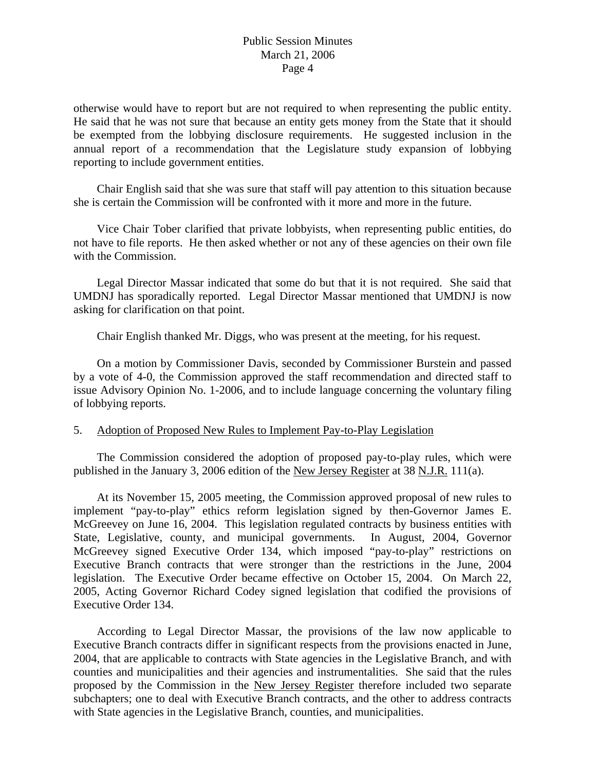otherwise would have to report but are not required to when representing the public entity. He said that he was not sure that because an entity gets money from the State that it should be exempted from the lobbying disclosure requirements. He suggested inclusion in the annual report of a recommendation that the Legislature study expansion of lobbying reporting to include government entities.

 Chair English said that she was sure that staff will pay attention to this situation because she is certain the Commission will be confronted with it more and more in the future.

 Vice Chair Tober clarified that private lobbyists, when representing public entities, do not have to file reports. He then asked whether or not any of these agencies on their own file with the Commission.

 Legal Director Massar indicated that some do but that it is not required. She said that UMDNJ has sporadically reported. Legal Director Massar mentioned that UMDNJ is now asking for clarification on that point.

Chair English thanked Mr. Diggs, who was present at the meeting, for his request.

 On a motion by Commissioner Davis, seconded by Commissioner Burstein and passed by a vote of 4-0, the Commission approved the staff recommendation and directed staff to issue Advisory Opinion No. 1-2006, and to include language concerning the voluntary filing of lobbying reports.

### 5. Adoption of Proposed New Rules to Implement Pay-to-Play Legislation

 The Commission considered the adoption of proposed pay-to-play rules, which were published in the January 3, 2006 edition of the New Jersey Register at 38 N.J.R. 111(a).

 At its November 15, 2005 meeting, the Commission approved proposal of new rules to implement "pay-to-play" ethics reform legislation signed by then-Governor James E. McGreevey on June 16, 2004. This legislation regulated contracts by business entities with State, Legislative, county, and municipal governments. In August, 2004, Governor McGreevey signed Executive Order 134, which imposed "pay-to-play" restrictions on Executive Branch contracts that were stronger than the restrictions in the June, 2004 legislation. The Executive Order became effective on October 15, 2004. On March 22, 2005, Acting Governor Richard Codey signed legislation that codified the provisions of Executive Order 134.

 According to Legal Director Massar, the provisions of the law now applicable to Executive Branch contracts differ in significant respects from the provisions enacted in June, 2004, that are applicable to contracts with State agencies in the Legislative Branch, and with counties and municipalities and their agencies and instrumentalities. She said that the rules proposed by the Commission in the New Jersey Register therefore included two separate subchapters; one to deal with Executive Branch contracts, and the other to address contracts with State agencies in the Legislative Branch, counties, and municipalities.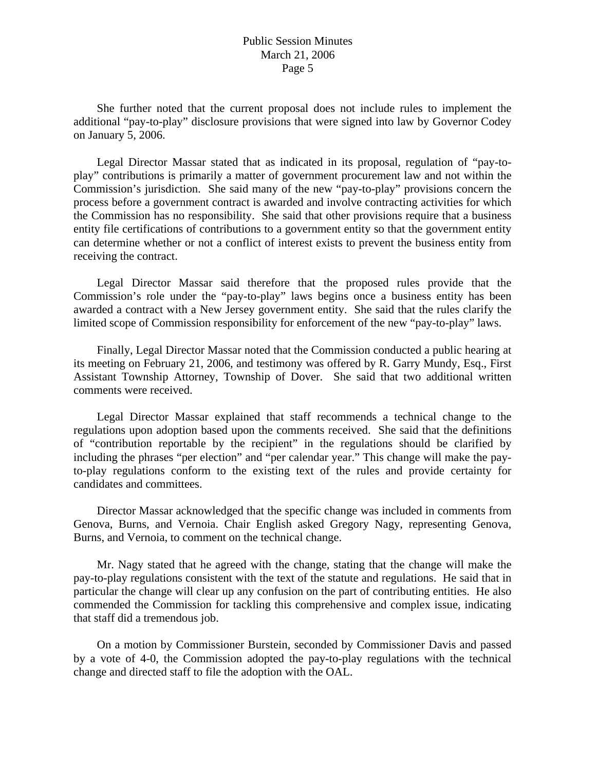She further noted that the current proposal does not include rules to implement the additional "pay-to-play" disclosure provisions that were signed into law by Governor Codey on January 5, 2006.

 Legal Director Massar stated that as indicated in its proposal, regulation of "pay-toplay" contributions is primarily a matter of government procurement law and not within the Commission's jurisdiction. She said many of the new "pay-to-play" provisions concern the process before a government contract is awarded and involve contracting activities for which the Commission has no responsibility. She said that other provisions require that a business entity file certifications of contributions to a government entity so that the government entity can determine whether or not a conflict of interest exists to prevent the business entity from receiving the contract.

 Legal Director Massar said therefore that the proposed rules provide that the Commission's role under the "pay-to-play" laws begins once a business entity has been awarded a contract with a New Jersey government entity. She said that the rules clarify the limited scope of Commission responsibility for enforcement of the new "pay-to-play" laws.

 Finally, Legal Director Massar noted that the Commission conducted a public hearing at its meeting on February 21, 2006, and testimony was offered by R. Garry Mundy, Esq., First Assistant Township Attorney, Township of Dover. She said that two additional written comments were received.

 Legal Director Massar explained that staff recommends a technical change to the regulations upon adoption based upon the comments received. She said that the definitions of "contribution reportable by the recipient" in the regulations should be clarified by including the phrases "per election" and "per calendar year." This change will make the payto-play regulations conform to the existing text of the rules and provide certainty for candidates and committees.

 Director Massar acknowledged that the specific change was included in comments from Genova, Burns, and Vernoia. Chair English asked Gregory Nagy, representing Genova, Burns, and Vernoia, to comment on the technical change.

 Mr. Nagy stated that he agreed with the change, stating that the change will make the pay-to-play regulations consistent with the text of the statute and regulations. He said that in particular the change will clear up any confusion on the part of contributing entities. He also commended the Commission for tackling this comprehensive and complex issue, indicating that staff did a tremendous job.

 On a motion by Commissioner Burstein, seconded by Commissioner Davis and passed by a vote of 4-0, the Commission adopted the pay-to-play regulations with the technical change and directed staff to file the adoption with the OAL.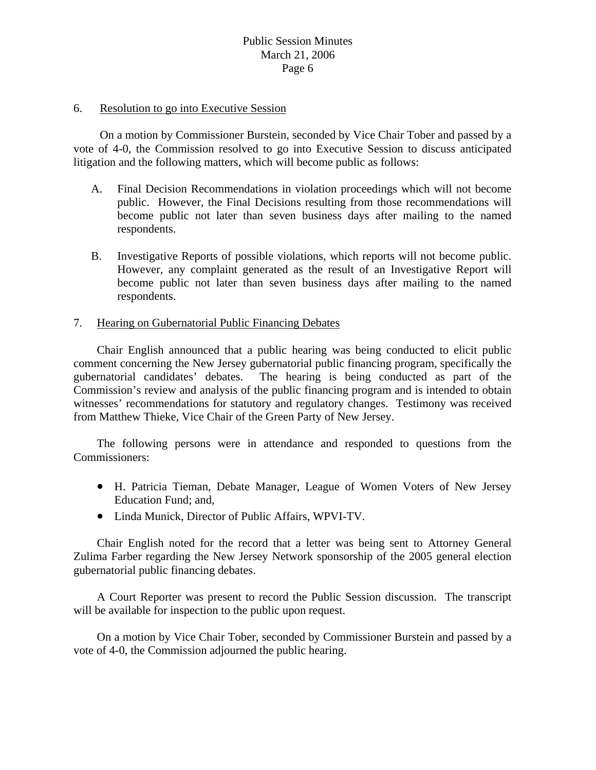#### 6. Resolution to go into Executive Session

 On a motion by Commissioner Burstein, seconded by Vice Chair Tober and passed by a vote of 4-0, the Commission resolved to go into Executive Session to discuss anticipated litigation and the following matters, which will become public as follows:

- A. Final Decision Recommendations in violation proceedings which will not become public. However, the Final Decisions resulting from those recommendations will become public not later than seven business days after mailing to the named respondents.
- B. Investigative Reports of possible violations, which reports will not become public. However, any complaint generated as the result of an Investigative Report will become public not later than seven business days after mailing to the named respondents.

#### 7. Hearing on Gubernatorial Public Financing Debates

 Chair English announced that a public hearing was being conducted to elicit public comment concerning the New Jersey gubernatorial public financing program, specifically the gubernatorial candidates' debates. The hearing is being conducted as part of the Commission's review and analysis of the public financing program and is intended to obtain witnesses' recommendations for statutory and regulatory changes. Testimony was received from Matthew Thieke, Vice Chair of the Green Party of New Jersey.

 The following persons were in attendance and responded to questions from the Commissioners:

- H. Patricia Tieman, Debate Manager, League of Women Voters of New Jersey Education Fund; and,
- Linda Munick, Director of Public Affairs, WPVI-TV.

 Chair English noted for the record that a letter was being sent to Attorney General Zulima Farber regarding the New Jersey Network sponsorship of the 2005 general election gubernatorial public financing debates.

 A Court Reporter was present to record the Public Session discussion. The transcript will be available for inspection to the public upon request.

 On a motion by Vice Chair Tober, seconded by Commissioner Burstein and passed by a vote of 4-0, the Commission adjourned the public hearing.